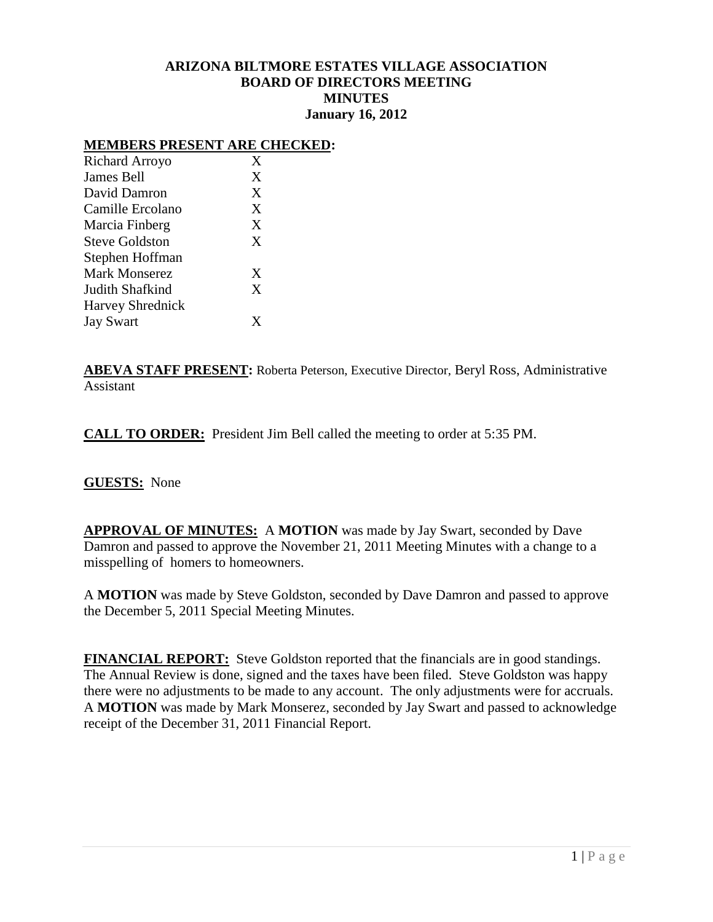# **ARIZONA BILTMORE ESTATES VILLAGE ASSOCIATION BOARD OF DIRECTORS MEETING MINUTES January 16, 2012**

#### **MEMBERS PRESENT ARE CHECKED:**

| Richard Arroyo          | X |
|-------------------------|---|
| James Bell              | X |
| David Damron            | X |
| Camille Ercolano        | X |
| Marcia Finberg          | X |
| <b>Steve Goldston</b>   | X |
| Stephen Hoffman         |   |
| Mark Monserez           | X |
| Judith Shafkind         | X |
| <b>Harvey Shrednick</b> |   |
| <b>Jay Swart</b>        | Y |
|                         |   |

**ABEVA STAFF PRESENT:** Roberta Peterson, Executive Director, Beryl Ross, Administrative Assistant

**CALL TO ORDER:** President Jim Bell called the meeting to order at 5:35 PM.

### **GUESTS:** None

**APPROVAL OF MINUTES:** A **MOTION** was made by Jay Swart, seconded by Dave Damron and passed to approve the November 21, 2011 Meeting Minutes with a change to a misspelling of homers to homeowners.

A **MOTION** was made by Steve Goldston, seconded by Dave Damron and passed to approve the December 5, 2011 Special Meeting Minutes.

**FINANCIAL REPORT:** Steve Goldston reported that the financials are in good standings. The Annual Review is done, signed and the taxes have been filed. Steve Goldston was happy there were no adjustments to be made to any account. The only adjustments were for accruals. A **MOTION** was made by Mark Monserez, seconded by Jay Swart and passed to acknowledge receipt of the December 31, 2011 Financial Report.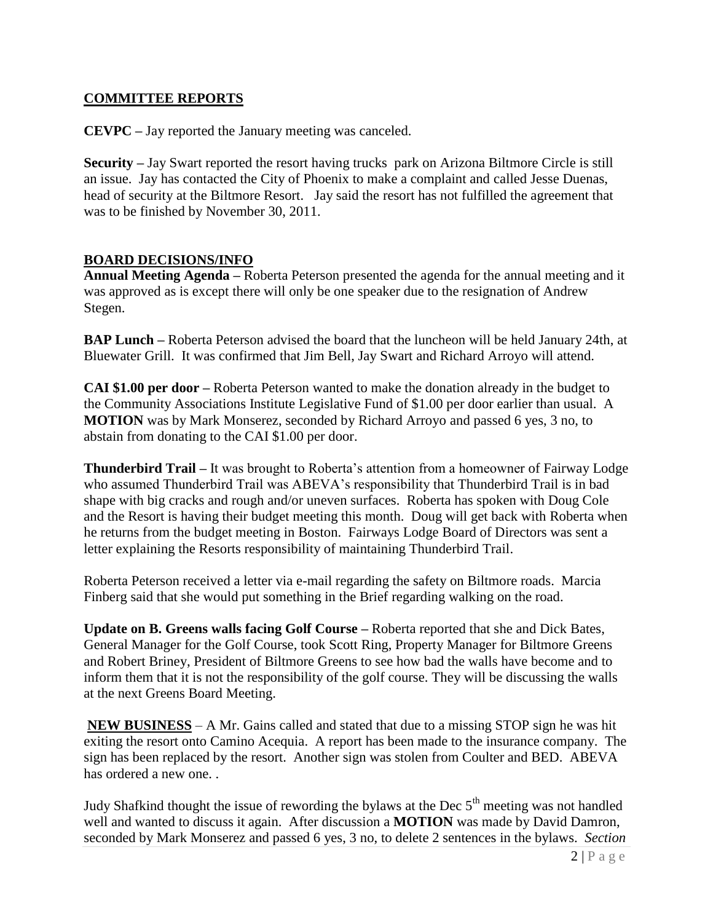# **COMMITTEE REPORTS**

**CEVPC –** Jay reported the January meeting was canceled.

**Security –** Jay Swart reported the resort having trucks park on Arizona Biltmore Circle is still an issue. Jay has contacted the City of Phoenix to make a complaint and called Jesse Duenas, head of security at the Biltmore Resort. Jay said the resort has not fulfilled the agreement that was to be finished by November 30, 2011.

# **BOARD DECISIONS/INFO**

**Annual Meeting Agenda –** Roberta Peterson presented the agenda for the annual meeting and it was approved as is except there will only be one speaker due to the resignation of Andrew Stegen.

**BAP Lunch –** Roberta Peterson advised the board that the luncheon will be held January 24th, at Bluewater Grill. It was confirmed that Jim Bell, Jay Swart and Richard Arroyo will attend.

**CAI \$1.00 per door –** Roberta Peterson wanted to make the donation already in the budget to the Community Associations Institute Legislative Fund of \$1.00 per door earlier than usual. A **MOTION** was by Mark Monserez, seconded by Richard Arroyo and passed 6 yes, 3 no, to abstain from donating to the CAI \$1.00 per door.

**Thunderbird Trail –** It was brought to Roberta's attention from a homeowner of Fairway Lodge who assumed Thunderbird Trail was ABEVA's responsibility that Thunderbird Trail is in bad shape with big cracks and rough and/or uneven surfaces. Roberta has spoken with Doug Cole and the Resort is having their budget meeting this month. Doug will get back with Roberta when he returns from the budget meeting in Boston. Fairways Lodge Board of Directors was sent a letter explaining the Resorts responsibility of maintaining Thunderbird Trail.

Roberta Peterson received a letter via e-mail regarding the safety on Biltmore roads. Marcia Finberg said that she would put something in the Brief regarding walking on the road.

**Update on B. Greens walls facing Golf Course –** Roberta reported that she and Dick Bates, General Manager for the Golf Course, took Scott Ring, Property Manager for Biltmore Greens and Robert Briney, President of Biltmore Greens to see how bad the walls have become and to inform them that it is not the responsibility of the golf course. They will be discussing the walls at the next Greens Board Meeting.

**NEW BUSINESS** – A Mr. Gains called and stated that due to a missing STOP sign he was hit exiting the resort onto Camino Acequia. A report has been made to the insurance company. The sign has been replaced by the resort. Another sign was stolen from Coulter and BED. ABEVA has ordered a new one. .

Judy Shafkind thought the issue of rewording the bylaws at the Dec  $5<sup>th</sup>$  meeting was not handled well and wanted to discuss it again. After discussion a **MOTION** was made by David Damron, seconded by Mark Monserez and passed 6 yes, 3 no, to delete 2 sentences in the bylaws. *Section*